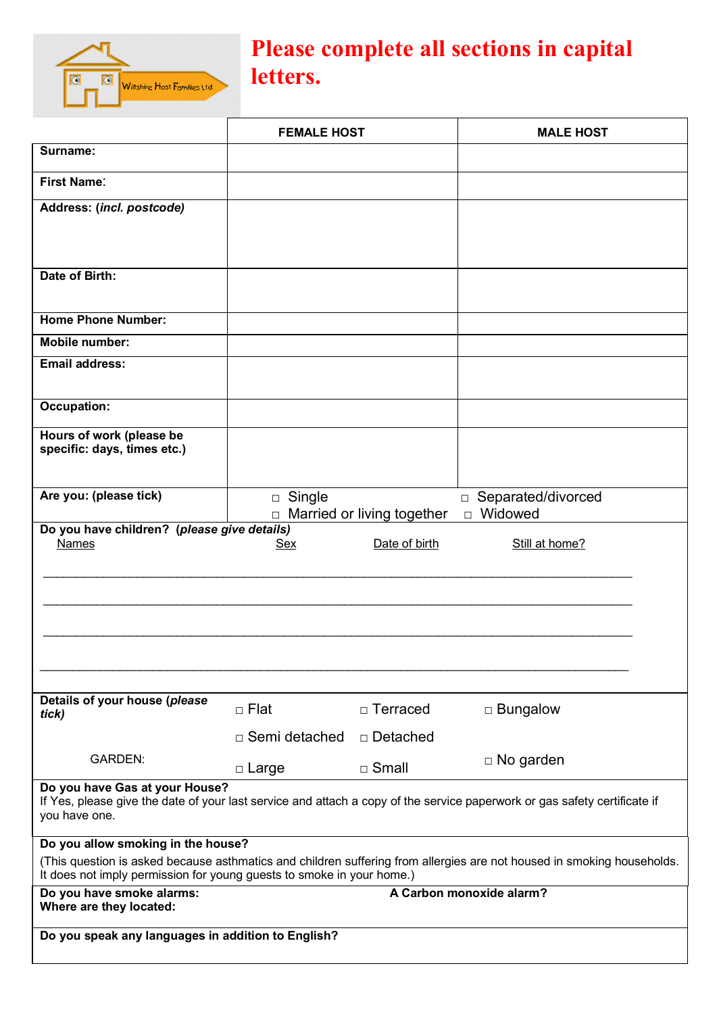

## **Please complete all sections in capital letters.**

|                                                                                                                                                                                                 | <b>FEMALE HOST</b>      |                            | <b>MALE HOST</b>                                  |  |
|-------------------------------------------------------------------------------------------------------------------------------------------------------------------------------------------------|-------------------------|----------------------------|---------------------------------------------------|--|
| Surname:                                                                                                                                                                                        |                         |                            |                                                   |  |
| <b>First Name:</b>                                                                                                                                                                              |                         |                            |                                                   |  |
| Address: (incl. postcode)                                                                                                                                                                       |                         |                            |                                                   |  |
|                                                                                                                                                                                                 |                         |                            |                                                   |  |
|                                                                                                                                                                                                 |                         |                            |                                                   |  |
| Date of Birth:                                                                                                                                                                                  |                         |                            |                                                   |  |
| <b>Home Phone Number:</b>                                                                                                                                                                       |                         |                            |                                                   |  |
| <b>Mobile number:</b>                                                                                                                                                                           |                         |                            |                                                   |  |
| <b>Email address:</b>                                                                                                                                                                           |                         |                            |                                                   |  |
| <b>Occupation:</b>                                                                                                                                                                              |                         |                            |                                                   |  |
| Hours of work (please be<br>specific: days, times etc.)                                                                                                                                         |                         |                            |                                                   |  |
| Are you: (please tick)                                                                                                                                                                          | $\Box$ Single<br>$\Box$ | Married or living together | Separated/divorced<br>$\Box$<br>Widowed<br>$\Box$ |  |
| Do you have children? (please give details)                                                                                                                                                     |                         |                            |                                                   |  |
| Names                                                                                                                                                                                           | <u>Sex</u>              | Date of birth              | Still at home?                                    |  |
|                                                                                                                                                                                                 |                         |                            |                                                   |  |
|                                                                                                                                                                                                 |                         |                            |                                                   |  |
|                                                                                                                                                                                                 |                         |                            |                                                   |  |
|                                                                                                                                                                                                 |                         |                            |                                                   |  |
|                                                                                                                                                                                                 |                         |                            |                                                   |  |
| Details of your house (please<br>tick)                                                                                                                                                          | □ Flat                  | □ Terraced                 | $\Box$ Bungalow                                   |  |
|                                                                                                                                                                                                 | $\Box$ Semi detached    | □ Detached                 |                                                   |  |
| <b>GARDEN:</b>                                                                                                                                                                                  | □ Large                 | $\Box$ Small               | $\Box$ No garden                                  |  |
| Do you have Gas at your House?<br>If Yes, please give the date of your last service and attach a copy of the service paperwork or gas safety certificate if<br>you have one.                    |                         |                            |                                                   |  |
| Do you allow smoking in the house?                                                                                                                                                              |                         |                            |                                                   |  |
| (This question is asked because asthmatics and children suffering from allergies are not housed in smoking households.<br>It does not imply permission for young guests to smoke in your home.) |                         |                            |                                                   |  |
| Do you have smoke alarms:<br>Where are they located:                                                                                                                                            |                         |                            | A Carbon monoxide alarm?                          |  |
|                                                                                                                                                                                                 |                         |                            |                                                   |  |
| Do you speak any languages in addition to English?                                                                                                                                              |                         |                            |                                                   |  |